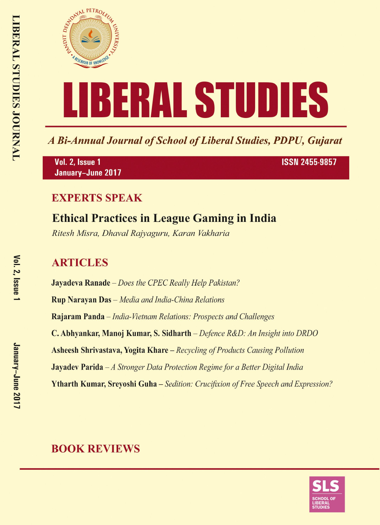

A Bi-Annual Journal of School of Liberal Studies, PDPU, Gujarat

Vol. 2, Issue 1 January-June 2017 **ISSN 2455-9857** 

#### **EXPERTS SPEAK**

# **Ethical Practices in League Gaming in India**

Ritesh Misra, Dhaval Rajyaguru, Karan Vakharia

## **ARTICLES**

**Jayadeva Ranade** – Does the CPEC Really Help Pakistan? **Rup Narayan Das** - Media and India-China Relations Rajaram Panda – India-Vietnam Relations: Prospects and Challenges C. Abhyankar, Manoj Kumar, S. Sidharth – Defence R&D: An Insight into DRDO **Asheesh Shrivastava, Yogita Khare** – Recycling of Products Causing Pollution **Jayadev Parida**  $-A$  Stronger Data Protection Regime for a Better Digital India **Ytharth Kumar, Srevoshi Guha** – Sedition: Crucifixion of Free Speech and Expression?

### **BOOK REVIEWS**

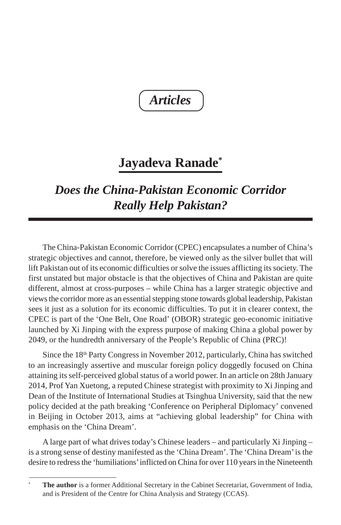*Articles*

# **Jayadeva Ranade\***

# *Does the China-Pakistan Economic Corridor Really Help Pakistan?*

The China-Pakistan Economic Corridor (CPEC) encapsulates a number of China's strategic objectives and cannot, therefore, be viewed only as the silver bullet that will lift Pakistan out of its economic difficulties or solve the issues afflicting its society. The first unstated but major obstacle is that the objectives of China and Pakistan are quite different, almost at cross-purposes – while China has a larger strategic objective and views the corridor more as an essential stepping stone towards global leadership, Pakistan sees it just as a solution for its economic difficulties. To put it in clearer context, the CPEC is part of the 'One Belt, One Road' (OBOR) strategic geo-economic initiative launched by Xi Jinping with the express purpose of making China a global power by 2049, or the hundredth anniversary of the People's Republic of China (PRC)!

Since the 18th Party Congress in November 2012, particularly, China has switched to an increasingly assertive and muscular foreign policy doggedly focused on China attaining its self-perceived global status of a world power. In an article on 28th January 2014, Prof Yan Xuetong, a reputed Chinese strategist with proximity to Xi Jinping and Dean of the Institute of International Studies at Tsinghua University, said that the new policy decided at the path breaking 'Conference on Peripheral Diplomacy' convened in Beijing in October 2013, aims at "achieving global leadership" for China with emphasis on the 'China Dream'.

A large part of what drives today's Chinese leaders – and particularly Xi Jinping – is a strong sense of destiny manifested as the 'China Dream'. The 'China Dream' is the desire to redress the 'humiliations' inflicted on China for over 110 years in the Nineteenth

<sup>\*</sup> **The author** is a former Additional Secretary in the Cabinet Secretariat, Government of India, and is President of the Centre for China Analysis and Strategy (CCAS).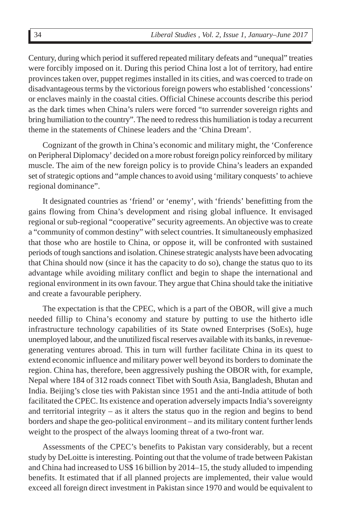Century, during which period it suffered repeated military defeats and "unequal" treaties were forcibly imposed on it. During this period China lost a lot of territory, had entire provinces taken over, puppet regimes installed in its cities, and was coerced to trade on disadvantageous terms by the victorious foreign powers who established 'concessions' or enclaves mainly in the coastal cities. Official Chinese accounts describe this period as the dark times when China's rulers were forced "to surrender sovereign rights and bring humiliation to the country". The need to redress this humiliation is today a recurrent theme in the statements of Chinese leaders and the 'China Dream'.

Cognizant of the growth in China's economic and military might, the 'Conference on Peripheral Diplomacy' decided on a more robust foreign policy reinforced by military muscle. The aim of the new foreign policy is to provide China's leaders an expanded set of strategic options and "ample chances to avoid using 'military conquests' to achieve regional dominance".

It designated countries as 'friend' or 'enemy', with 'friends' benefitting from the gains flowing from China's development and rising global influence. It envisaged regional or sub-regional "cooperative" security agreements. An objective was to create a "community of common destiny" with select countries. It simultaneously emphasized that those who are hostile to China, or oppose it, will be confronted with sustained periods of tough sanctions and isolation. Chinese strategic analysts have been advocating that China should now (since it has the capacity to do so), change the status quo to its advantage while avoiding military conflict and begin to shape the international and regional environment in its own favour. They argue that China should take the initiative and create a favourable periphery.

The expectation is that the CPEC, which is a part of the OBOR, will give a much needed fillip to China's economy and stature by putting to use the hitherto idle infrastructure technology capabilities of its State owned Enterprises (SoEs), huge unemployed labour, and the unutilized fiscal reserves available with its banks, in revenuegenerating ventures abroad. This in turn will further facilitate China in its quest to extend economic influence and military power well beyond its borders to dominate the region. China has, therefore, been aggressively pushing the OBOR with, for example, Nepal where 184 of 312 roads connect Tibet with South Asia, Bangladesh, Bhutan and India. Beijing's close ties with Pakistan since 1951 and the anti-India attitude of both facilitated the CPEC. Its existence and operation adversely impacts India's sovereignty and territorial integrity – as it alters the status quo in the region and begins to bend borders and shape the geo-political environment – and its military content further lends weight to the prospect of the always looming threat of a two-front war.

Assessments of the CPEC's benefits to Pakistan vary considerably, but a recent study by DeLoitte is interesting. Pointing out that the volume of trade between Pakistan and China had increased to US\$ 16 billion by 2014–15, the study alluded to impending benefits. It estimated that if all planned projects are implemented, their value would exceed all foreign direct investment in Pakistan since 1970 and would be equivalent to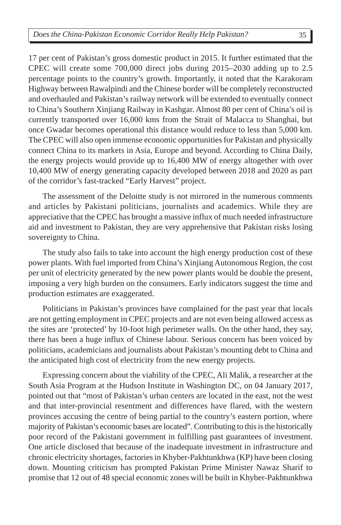17 per cent of Pakistan's gross domestic product in 2015. It further estimated that the CPEC will create some 700,000 direct jobs during 2015–2030 adding up to 2.5 percentage points to the country's growth. Importantly, it noted that the Karakoram Highway between Rawalpindi and the Chinese border will be completely reconstructed and overhauled and Pakistan's railway network will be extended to eventually connect to China's Southern Xinjiang Railway in Kashgar. Almost 80 per cent of China's oil is currently transported over 16,000 kms from the Strait of Malacca to Shanghai, but once Gwadar becomes operational this distance would reduce to less than 5,000 km. The CPEC will also open immense economic opportunities for Pakistan and physically connect China to its markets in Asia, Europe and beyond. According to China Daily, the energy projects would provide up to 16,400 MW of energy altogether with over 10,400 MW of energy generating capacity developed between 2018 and 2020 as part of the corridor's fast-tracked "Early Harvest" project.

The assessment of the Deloitte study is not mirrored in the numerous comments and articles by Pakistani politicians, journalists and academics. While they are appreciative that the CPEC has brought a massive influx of much needed infrastructure aid and investment to Pakistan, they are very apprehensive that Pakistan risks losing sovereignty to China.

The study also fails to take into account the high energy production cost of these power plants. With fuel imported from China's Xinjiang Autonomous Region, the cost per unit of electricity generated by the new power plants would be double the present, imposing a very high burden on the consumers. Early indicators suggest the time and production estimates are exaggerated.

Politicians in Pakistan's provinces have complained for the past year that locals are not getting employment in CPEC projects and are not even being allowed access as the sites are 'protected' by 10-foot high perimeter walls. On the other hand, they say, there has been a huge influx of Chinese labour. Serious concern has been voiced by politicians, academicians and journalists about Pakistan's mounting debt to China and the anticipated high cost of electricity from the new energy projects.

Expressing concern about the viability of the CPEC, Ali Malik, a researcher at the South Asia Program at the Hudson Institute in Washington DC, on 04 January 2017, pointed out that "most of Pakistan's urban centers are located in the east, not the west and that inter-provincial resentment and differences have flared, with the western provinces accusing the centre of being partial to the country's eastern portion, where majority of Pakistan's economic bases are located". Contributing to this is the historically poor record of the Pakistani government in fulfilling past guarantees of investment. One article disclosed that because of the inadequate investment in infrastructure and chronic electricity shortages, factories in Khyber-Pakhtunkhwa (KP) have been closing down. Mounting criticism has prompted Pakistan Prime Minister Nawaz Sharif to promise that 12 out of 48 special economic zones will be built in Khyber-Pakhtunkhwa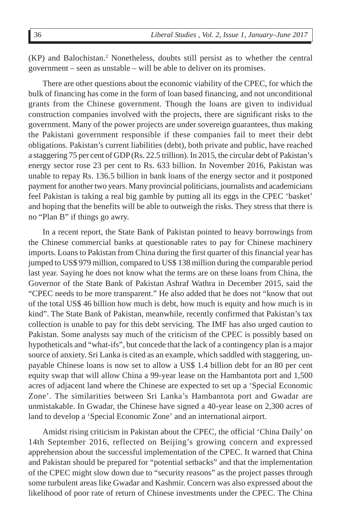(KP) and Balochistan.2 Nonetheless, doubts still persist as to whether the central government – seen as unstable – will be able to deliver on its promises.

There are other questions about the economic viability of the CPEC, for which the bulk of financing has come in the form of loan based financing, and not unconditional grants from the Chinese government. Though the loans are given to individual construction companies involved with the projects, there are significant risks to the government. Many of the power projects are under sovereign guarantees, thus making the Pakistani government responsible if these companies fail to meet their debt obligations. Pakistan's current liabilities (debt), both private and public, have reached a staggering 75 per cent of GDP (Rs. 22.5 trillion). In 2015, the circular debt of Pakistan's energy sector rose 23 per cent to Rs. 633 billion. In November 2016, Pakistan was unable to repay Rs. 136.5 billion in bank loans of the energy sector and it postponed payment for another two years. Many provincial politicians, journalists and academicians feel Pakistan is taking a real big gamble by putting all its eggs in the CPEC 'basket' and hoping that the benefits will be able to outweigh the risks. They stress that there is no "Plan B" if things go awry.

In a recent report, the State Bank of Pakistan pointed to heavy borrowings from the Chinese commercial banks at questionable rates to pay for Chinese machinery imports. Loans to Pakistan from China during the first quarter of this financial year has jumped to US\$ 979 million, compared to US\$ 138 million during the comparable period last year. Saying he does not know what the terms are on these loans from China, the Governor of the State Bank of Pakistan Ashraf Wathra in December 2015, said the "CPEC needs to be more transparent." He also added that he does not "know that out of the total US\$ 46 billion how much is debt, how much is equity and how much is in kind". The State Bank of Pakistan, meanwhile, recently confirmed that Pakistan's tax collection is unable to pay for this debt servicing. The IMF has also urged caution to Pakistan. Some analysts say much of the criticism of the CPEC is possibly based on hypotheticals and "what-ifs", but concede that the lack of a contingency plan is a major source of anxiety. Sri Lanka is cited as an example, which saddled with staggering, unpayable Chinese loans is now set to allow a US\$ 1.4 billion debt for an 80 per cent equity swap that will allow China a 99-year lease on the Hambantota port and 1,500 acres of adjacent land where the Chinese are expected to set up a 'Special Economic Zone'. The similarities between Sri Lanka's Hambantota port and Gwadar are unmistakable. In Gwadar, the Chinese have signed a 40-year lease on 2,300 acres of land to develop a 'Special Economic Zone' and an international airport.

Amidst rising criticism in Pakistan about the CPEC, the official 'China Daily' on 14th September 2016, reflected on Beijing's growing concern and expressed apprehension about the successful implementation of the CPEC. It warned that China and Pakistan should be prepared for "potential setbacks" and that the implementation of the CPEC might slow down due to "security reasons" as the project passes through some turbulent areas like Gwadar and Kashmir. Concern was also expressed about the likelihood of poor rate of return of Chinese investments under the CPEC. The China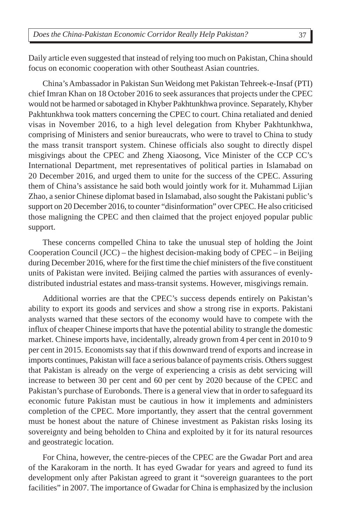Daily article even suggested that instead of relying too much on Pakistan, China should focus on economic cooperation with other Southeast Asian countries.

China's Ambassador in Pakistan Sun Weidong met Pakistan Tehreek-e-Insaf (PTI) chief Imran Khan on 18 October 2016 to seek assurances that projects under the CPEC would not be harmed or sabotaged in Khyber Pakhtunkhwa province. Separately, Khyber Pakhtunkhwa took matters concerning the CPEC to court. China retaliated and denied visas in November 2016, to a high level delegation from Khyber Pakhtunkhwa, comprising of Ministers and senior bureaucrats, who were to travel to China to study the mass transit transport system. Chinese officials also sought to directly dispel misgivings about the CPEC and Zheng Xiaosong, Vice Minister of the CCP CC's International Department, met representatives of political parties in Islamabad on 20 December 2016, and urged them to unite for the success of the CPEC. Assuring them of China's assistance he said both would jointly work for it. Muhammad Lijian Zhao, a senior Chinese diplomat based in Islamabad, also sought the Pakistani public's support on 20 December 2016, to counter "disinformation" over CPEC. He also criticised those maligning the CPEC and then claimed that the project enjoyed popular public support.

These concerns compelled China to take the unusual step of holding the Joint Cooperation Council (JCC) – the highest decision-making body of CPEC – in Beijing during December 2016, where for the first time the chief ministers of the five constituent units of Pakistan were invited. Beijing calmed the parties with assurances of evenlydistributed industrial estates and mass-transit systems. However, misgivings remain.

Additional worries are that the CPEC's success depends entirely on Pakistan's ability to export its goods and services and show a strong rise in exports. Pakistani analysts warned that these sectors of the economy would have to compete with the influx of cheaper Chinese imports that have the potential ability to strangle the domestic market. Chinese imports have, incidentally, already grown from 4 per cent in 2010 to 9 per cent in 2015. Economists say that if this downward trend of exports and increase in imports continues, Pakistan will face a serious balance of payments crisis. Others suggest that Pakistan is already on the verge of experiencing a crisis as debt servicing will increase to between 30 per cent and 60 per cent by 2020 because of the CPEC and Pakistan's purchase of Eurobonds. There is a general view that in order to safeguard its economic future Pakistan must be cautious in how it implements and administers completion of the CPEC. More importantly, they assert that the central government must be honest about the nature of Chinese investment as Pakistan risks losing its sovereignty and being beholden to China and exploited by it for its natural resources and geostrategic location.

For China, however, the centre-pieces of the CPEC are the Gwadar Port and area of the Karakoram in the north. It has eyed Gwadar for years and agreed to fund its development only after Pakistan agreed to grant it "sovereign guarantees to the port facilities" in 2007. The importance of Gwadar for China is emphasized by the inclusion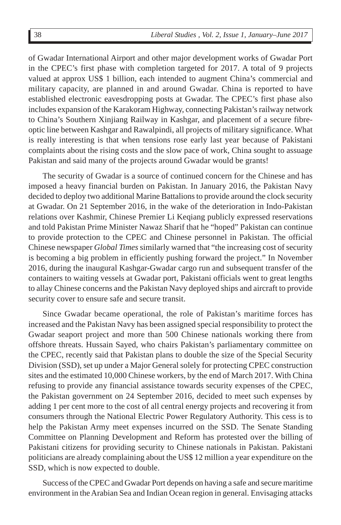of Gwadar International Airport and other major development works of Gwadar Port in the CPEC's first phase with completion targeted for 2017. A total of 9 projects valued at approx US\$ 1 billion, each intended to augment China's commercial and military capacity, are planned in and around Gwadar. China is reported to have established electronic eavesdropping posts at Gwadar. The CPEC's first phase also includes expansion of the Karakoram Highway, connecting Pakistan's railway network to China's Southern Xinjiang Railway in Kashgar, and placement of a secure fibreoptic line between Kashgar and Rawalpindi, all projects of military significance. What is really interesting is that when tensions rose early last year because of Pakistani complaints about the rising costs and the slow pace of work, China sought to assuage Pakistan and said many of the projects around Gwadar would be grants!

The security of Gwadar is a source of continued concern for the Chinese and has imposed a heavy financial burden on Pakistan. In January 2016, the Pakistan Navy decided to deploy two additional Marine Battalions to provide around the clock security at Gwadar. On 21 September 2016, in the wake of the deterioration in Indo-Pakistan relations over Kashmir, Chinese Premier Li Keqiang publicly expressed reservations and told Pakistan Prime Minister Nawaz Sharif that he "hoped" Pakistan can continue to provide protection to the CPEC and Chinese personnel in Pakistan. The official Chinese newspaper *Global Times* similarly warned that "the increasing cost of security is becoming a big problem in efficiently pushing forward the project." In November 2016, during the inaugural Kashgar-Gwadar cargo run and subsequent transfer of the containers to waiting vessels at Gwadar port, Pakistani officials went to great lengths to allay Chinese concerns and the Pakistan Navy deployed ships and aircraft to provide security cover to ensure safe and secure transit.

Since Gwadar became operational, the role of Pakistan's maritime forces has increased and the Pakistan Navy has been assigned special responsibility to protect the Gwadar seaport project and more than 500 Chinese nationals working there from offshore threats. Hussain Sayed, who chairs Pakistan's parliamentary committee on the CPEC, recently said that Pakistan plans to double the size of the Special Security Division (SSD), set up under a Major General solely for protecting CPEC construction sites and the estimated 10,000 Chinese workers, by the end of March 2017. With China refusing to provide any financial assistance towards security expenses of the CPEC, the Pakistan government on 24 September 2016, decided to meet such expenses by adding 1 per cent more to the cost of all central energy projects and recovering it from consumers through the National Electric Power Regulatory Authority. This cess is to help the Pakistan Army meet expenses incurred on the SSD. The Senate Standing Committee on Planning Development and Reform has protested over the billing of Pakistani citizens for providing security to Chinese nationals in Pakistan. Pakistani politicians are already complaining about the US\$ 12 million a year expenditure on the SSD, which is now expected to double.

Success of the CPEC and Gwadar Port depends on having a safe and secure maritime environment in the Arabian Sea and Indian Ocean region in general. Envisaging attacks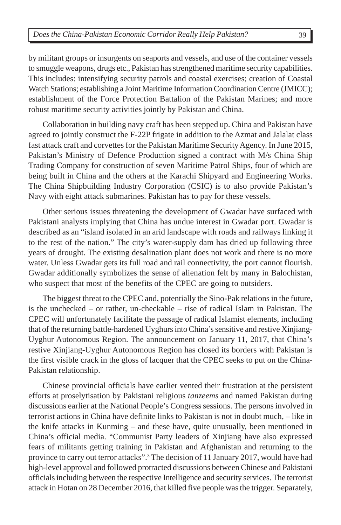by militant groups or insurgents on seaports and vessels, and use of the container vessels to smuggle weapons, drugs etc., Pakistan has strengthened maritime security capabilities. This includes: intensifying security patrols and coastal exercises; creation of Coastal Watch Stations; establishing a Joint Maritime Information Coordination Centre (JMICC); establishment of the Force Protection Battalion of the Pakistan Marines; and more robust maritime security activities jointly by Pakistan and China.

Collaboration in building navy craft has been stepped up. China and Pakistan have agreed to jointly construct the F-22P frigate in addition to the Azmat and Jalalat class fast attack craft and corvettes for the Pakistan Maritime Security Agency. In June 2015, Pakistan's Ministry of Defence Production signed a contract with M/s China Ship Trading Company for construction of seven Maritime Patrol Ships, four of which are being built in China and the others at the Karachi Shipyard and Engineering Works. The China Shipbuilding Industry Corporation (CSIC) is to also provide Pakistan's Navy with eight attack submarines. Pakistan has to pay for these vessels.

Other serious issues threatening the development of Gwadar have surfaced with Pakistani analysts implying that China has undue interest in Gwadar port. Gwadar is described as an "island isolated in an arid landscape with roads and railways linking it to the rest of the nation." The city's water-supply dam has dried up following three years of drought. The existing desalination plant does not work and there is no more water. Unless Gwadar gets its full road and rail connectivity, the port cannot flourish. Gwadar additionally symbolizes the sense of alienation felt by many in Balochistan, who suspect that most of the benefits of the CPEC are going to outsiders.

The biggest threat to the CPEC and, potentially the Sino-Pak relations in the future, is the unchecked – or rather, un-checkable – rise of radical Islam in Pakistan. The CPEC will unfortunately facilitate the passage of radical Islamist elements, including that of the returning battle-hardened Uyghurs into China's sensitive and restive Xinjiang-Uyghur Autonomous Region. The announcement on January 11, 2017, that China's restive Xinjiang-Uyghur Autonomous Region has closed its borders with Pakistan is the first visible crack in the gloss of lacquer that the CPEC seeks to put on the China-Pakistan relationship.

Chinese provincial officials have earlier vented their frustration at the persistent efforts at proselytisation by Pakistani religious *tanzeems* and named Pakistan during discussions earlier at the National People's Congress sessions. The persons involved in terrorist actions in China have definite links to Pakistan is not in doubt much, – like in the knife attacks in Kunming – and these have, quite unusually, been mentioned in China's official media. "Communist Party leaders of Xinjiang have also expressed fears of militants getting training in Pakistan and Afghanistan and returning to the province to carry out terror attacks".<sup>3</sup> The decision of 11 January 2017, would have had high-level approval and followed protracted discussions between Chinese and Pakistani officials including between the respective Intelligence and security services. The terrorist attack in Hotan on 28 December 2016, that killed five people was the trigger. Separately,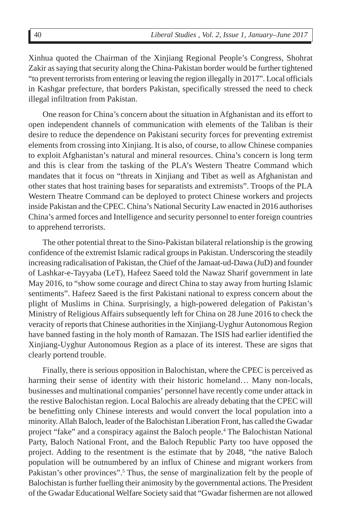Xinhua quoted the Chairman of the Xinjiang Regional People's Congress, Shohrat Zakir as saying that security along the China-Pakistan border would be further tightened "to prevent terrorists from entering or leaving the region illegally in 2017". Local officials in Kashgar prefecture, that borders Pakistan, specifically stressed the need to check illegal infiltration from Pakistan.

One reason for China's concern about the situation in Afghanistan and its effort to open independent channels of communication with elements of the Taliban is their desire to reduce the dependence on Pakistani security forces for preventing extremist elements from crossing into Xinjiang. It is also, of course, to allow Chinese companies to exploit Afghanistan's natural and mineral resources. China's concern is long term and this is clear from the tasking of the PLA's Western Theatre Command which mandates that it focus on "threats in Xinjiang and Tibet as well as Afghanistan and other states that host training bases for separatists and extremists". Troops of the PLA Western Theatre Command can be deployed to protect Chinese workers and projects inside Pakistan and the CPEC. China's National Security Law enacted in 2016 authorises China's armed forces and Intelligence and security personnel to enter foreign countries to apprehend terrorists.

The other potential threat to the Sino-Pakistan bilateral relationship is the growing confidence of the extremist Islamic radical groups in Pakistan. Underscoring the steadily increasing radicalisation of Pakistan, the Chief of the Jamaat-ud-Dawa (JuD) and founder of Lashkar-e-Tayyaba (LeT), Hafeez Saeed told the Nawaz Sharif government in late May 2016, to "show some courage and direct China to stay away from hurting Islamic sentiments". Hafeez Saeed is the first Pakistani national to express concern about the plight of Muslims in China. Surprisingly, a high-powered delegation of Pakistan's Ministry of Religious Affairs subsequently left for China on 28 June 2016 to check the veracity of reports that Chinese authorities in the Xinjiang-Uyghur Autonomous Region have banned fasting in the holy month of Ramazan. The ISIS had earlier identified the Xinjiang-Uyghur Autonomous Region as a place of its interest. These are signs that clearly portend trouble.

Finally, there is serious opposition in Balochistan, where the CPEC is perceived as harming their sense of identity with their historic homeland... Many non-locals, businesses and multinational companies' personnel have recently come under attack in the restive Balochistan region. Local Balochis are already debating that the CPEC will be benefitting only Chinese interests and would convert the local population into a minority. Allah Baloch, leader of the Balochistan Liberation Front, has called the Gwadar project "fake" and a conspiracy against the Baloch people.4 The Balochistan National Party, Baloch National Front, and the Baloch Republic Party too have opposed the project. Adding to the resentment is the estimate that by 2048, "the native Baloch population will be outnumbered by an influx of Chinese and migrant workers from Pakistan's other provinces".<sup>5</sup> Thus, the sense of marginalization felt by the people of Balochistan is further fuelling their animosity by the governmental actions. The President of the Gwadar Educational Welfare Society said that "Gwadar fishermen are not allowed